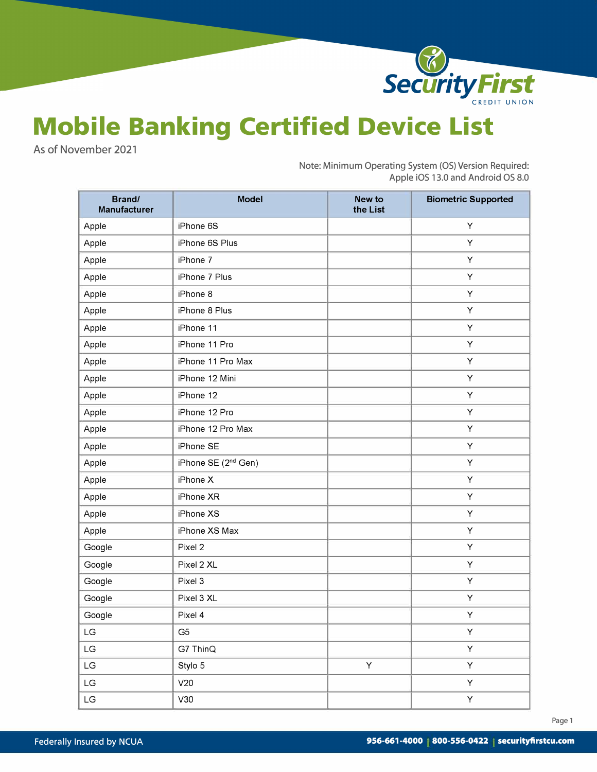

## **Mobile Banking Certified Device List**

As of November 2021

Note: Minimum Operating System {OS) Version Required: Apple iOS 13.0 and Android OS 8.0

| Brand/<br>Manufacturer | <b>Model</b>                    | New to<br>the List | <b>Biometric Supported</b> |
|------------------------|---------------------------------|--------------------|----------------------------|
| Apple                  | iPhone 6S                       |                    | Y                          |
| Apple                  | iPhone 6S Plus                  |                    | Υ                          |
| Apple                  | iPhone 7                        |                    | Υ                          |
| Apple                  | iPhone 7 Plus                   |                    | Υ                          |
| Apple                  | iPhone 8                        |                    | Υ                          |
| Apple                  | iPhone 8 Plus                   |                    | Υ                          |
| Apple                  | iPhone 11                       |                    | Υ                          |
| Apple                  | iPhone 11 Pro                   |                    | Υ                          |
| Apple                  | iPhone 11 Pro Max               |                    | Y                          |
| Apple                  | iPhone 12 Mini                  |                    | Υ                          |
| Apple                  | iPhone 12                       |                    | Υ                          |
| Apple                  | iPhone 12 Pro                   |                    | Υ                          |
| Apple                  | iPhone 12 Pro Max               |                    | Υ                          |
| Apple                  | iPhone SE                       |                    | Υ                          |
| Apple                  | iPhone SE (2 <sup>nd</sup> Gen) |                    | Υ                          |
| Apple                  | iPhone X                        |                    | Υ                          |
| Apple                  | iPhone XR                       |                    | Y                          |
| Apple                  | iPhone XS                       |                    | Y                          |
| Apple                  | iPhone XS Max                   |                    | Y                          |
| Google                 | Pixel 2                         |                    | Υ                          |
| Google                 | Pixel 2 XL                      |                    | Υ                          |
| Google                 | Pixel 3                         |                    | Υ                          |
| Google                 | Pixel 3 XL                      |                    | Υ                          |
| Google                 | Pixel 4                         |                    | Υ                          |
| $\mathsf{L}\mathsf{G}$ | G <sub>5</sub>                  |                    | $\sf Y$                    |
| LG                     | G7 ThinQ                        |                    | Y                          |
| $\mathsf{L}\mathsf{G}$ | Stylo 5                         | Y                  | Υ                          |
| $\mathsf{L}\mathsf{G}$ | V20                             |                    | Υ                          |
| $\mathsf{L}\mathsf{G}$ | V30                             |                    | Y                          |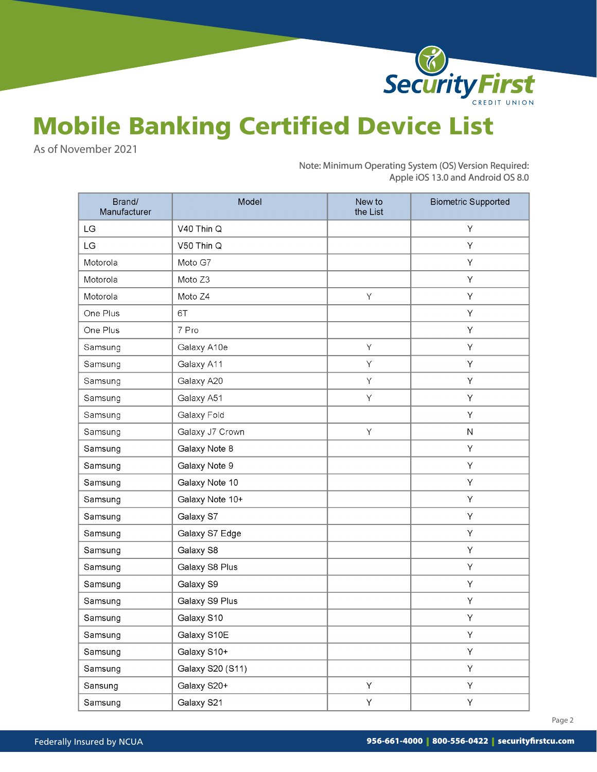

## Mobile Banking Certified Device List

As of November 2021

Note: Minimum Operating System {OS) Version Required: Apple iOS 13.0 and Android OS 8.0

| Brand/<br>Manufacturer | Model            | New to<br>the List | <b>Biometric Supported</b> |
|------------------------|------------------|--------------------|----------------------------|
| LG                     | V40 Thin Q       |                    | Y                          |
| LG                     | V50 Thin Q       |                    | Y                          |
| Motorola               | Moto G7          |                    | Y                          |
| Motorola               | Moto Z3          |                    | Υ                          |
| Motorola               | Moto Z4          | Y                  | Υ                          |
| One Plus               | 6T               |                    | Υ                          |
| One Plus               | 7 Pro            |                    | Υ                          |
| Samsung                | Galaxy A10e      | Y                  | Υ                          |
| Samsung                | Galaxy A11       | Υ                  | Υ                          |
| Samsung                | Galaxy A20       | Υ                  | Υ                          |
| Samsung                | Galaxy A51       | Υ                  | Υ                          |
| Samsung                | Galaxy Fold      |                    | Y                          |
| Samsung                | Galaxy J7 Crown  | Υ                  | $\mathsf N$                |
| Samsung                | Galaxy Note 8    |                    | Y                          |
| Samsung                | Galaxy Note 9    |                    | Υ                          |
| Samsung                | Galaxy Note 10   |                    | Υ                          |
| Samsung                | Galaxy Note 10+  |                    | Υ                          |
| Samsung                | Galaxy S7        |                    | Υ                          |
| Samsung                | Galaxy S7 Edge   |                    | Υ                          |
| Samsung                | Galaxy S8        |                    | Υ                          |
| Samsung                | Galaxy S8 Plus   |                    | Υ                          |
| Samsung                | Galaxy S9        |                    | Υ                          |
| Samsung                | Galaxy S9 Plus   |                    | Υ                          |
| Samsung                | Galaxy S10       |                    | Υ                          |
| Samsung                | Galaxy S10E      |                    | Υ                          |
| Samsung                | Galaxy S10+      |                    | Y.                         |
| Samsung                | Galaxy S20 (S11) |                    | Y                          |
| Sansung                | Galaxy S20+      | Y                  | Y                          |
| Samsung                | Galaxy S21       | Y                  | Y                          |

Page 2